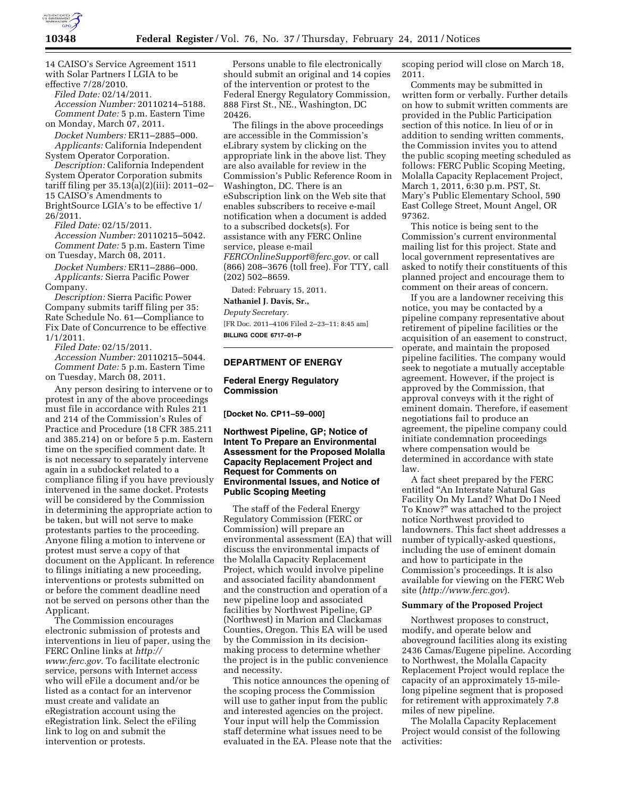

14 CAISO's Service Agreement 1511 with Solar Partners I LGIA to be effective 7/28/2010.

*Filed Date:* 02/14/2011. *Accession Number:* 20110214–5188. *Comment Date:* 5 p.m. Eastern Time on Monday, March 07, 2011.

*Docket Numbers:* ER11–2885–000. *Applicants:* California Independent System Operator Corporation.

*Description:* California Independent System Operator Corporation submits tariff filing per 35.13(a)(2)(iii): 2011–02– 15 CAISO's Amendments to BrightSource LGIA's to be effective 1/ 26/2011.

*Filed Date:* 02/15/2011. *Accession Number:* 20110215–5042. *Comment Date:* 5 p.m. Eastern Time on Tuesday, March 08, 2011.

*Docket Numbers:* ER11–2886–000. *Applicants:* Sierra Pacific Power Company.

*Description:* Sierra Pacific Power Company submits tariff filing per 35: Rate Schedule No. 61—Compliance to Fix Date of Concurrence to be effective 1/1/2011.

*Filed Date:* 02/15/2011.

*Accession Number:* 20110215–5044. *Comment Date:* 5 p.m. Eastern Time on Tuesday, March 08, 2011.

Any person desiring to intervene or to protest in any of the above proceedings must file in accordance with Rules 211 and 214 of the Commission's Rules of Practice and Procedure (18 CFR 385.211 and 385.214) on or before 5 p.m. Eastern time on the specified comment date. It is not necessary to separately intervene again in a subdocket related to a compliance filing if you have previously intervened in the same docket. Protests will be considered by the Commission in determining the appropriate action to be taken, but will not serve to make protestants parties to the proceeding. Anyone filing a motion to intervene or protest must serve a copy of that document on the Applicant. In reference to filings initiating a new proceeding, interventions or protests submitted on or before the comment deadline need not be served on persons other than the Applicant.

The Commission encourages electronic submission of protests and interventions in lieu of paper, using the FERC Online links at *[http://](http://www.ferc.gov)  [www.ferc.gov.](http://www.ferc.gov)* To facilitate electronic service, persons with Internet access who will eFile a document and/or be listed as a contact for an intervenor must create and validate an eRegistration account using the eRegistration link. Select the eFiling link to log on and submit the intervention or protests.

Persons unable to file electronically should submit an original and 14 copies of the intervention or protest to the Federal Energy Regulatory Commission, 888 First St., NE., Washington, DC 20426.

The filings in the above proceedings are accessible in the Commission's eLibrary system by clicking on the appropriate link in the above list. They are also available for review in the Commission's Public Reference Room in Washington, DC. There is an eSubscription link on the Web site that enables subscribers to receive e-mail notification when a document is added to a subscribed dockets(s). For assistance with any FERC Online service, please e-mail *[FERCOnlineSupport@ferc.gov.](mailto:FERCOnlineSupport@ferc.gov)* or call (866) 208–3676 (toll free). For TTY, call (202) 502–8659.

Dated: February 15, 2011.

**Nathaniel J. Davis, Sr.,** 

*Deputy Secretary.* 

[FR Doc. 2011–4106 Filed 2–23–11; 8:45 am] **BILLING CODE 6717–01–P** 

# **DEPARTMENT OF ENERGY**

# **Federal Energy Regulatory Commission**

**[Docket No. CP11–59–000]** 

# **Northwest Pipeline, GP; Notice of Intent To Prepare an Environmental Assessment for the Proposed Molalla Capacity Replacement Project and Request for Comments on Environmental Issues, and Notice of Public Scoping Meeting**

The staff of the Federal Energy Regulatory Commission (FERC or Commission) will prepare an environmental assessment (EA) that will discuss the environmental impacts of the Molalla Capacity Replacement Project, which would involve pipeline and associated facility abandonment and the construction and operation of a new pipeline loop and associated facilities by Northwest Pipeline, GP (Northwest) in Marion and Clackamas Counties, Oregon. This EA will be used by the Commission in its decisionmaking process to determine whether the project is in the public convenience and necessity.

This notice announces the opening of the scoping process the Commission will use to gather input from the public and interested agencies on the project. Your input will help the Commission staff determine what issues need to be evaluated in the EA. Please note that the scoping period will close on March 18, 2011.

Comments may be submitted in written form or verbally. Further details on how to submit written comments are provided in the Public Participation section of this notice. In lieu of or in addition to sending written comments, the Commission invites you to attend the public scoping meeting scheduled as follows: FERC Public Scoping Meeting, Molalla Capacity Replacement Project, March 1, 2011, 6:30 p.m. PST, St. Mary's Public Elementary School, 590 East College Street, Mount Angel, OR 97362.

This notice is being sent to the Commission's current environmental mailing list for this project. State and local government representatives are asked to notify their constituents of this planned project and encourage them to comment on their areas of concern.

If you are a landowner receiving this notice, you may be contacted by a pipeline company representative about retirement of pipeline facilities or the acquisition of an easement to construct, operate, and maintain the proposed pipeline facilities. The company would seek to negotiate a mutually acceptable agreement. However, if the project is approved by the Commission, that approval conveys with it the right of eminent domain. Therefore, if easement negotiations fail to produce an agreement, the pipeline company could initiate condemnation proceedings where compensation would be determined in accordance with state law.

A fact sheet prepared by the FERC entitled ''An Interstate Natural Gas Facility On My Land? What Do I Need To Know?'' was attached to the project notice Northwest provided to landowners. This fact sheet addresses a number of typically-asked questions, including the use of eminent domain and how to participate in the Commission's proceedings. It is also available for viewing on the FERC Web site (*<http://www.ferc.gov>*).

# **Summary of the Proposed Project**

Northwest proposes to construct, modify, and operate below and aboveground facilities along its existing 2436 Camas/Eugene pipeline. According to Northwest, the Molalla Capacity Replacement Project would replace the capacity of an approximately 15-milelong pipeline segment that is proposed for retirement with approximately 7.8 miles of new pipeline.

The Molalla Capacity Replacement Project would consist of the following activities: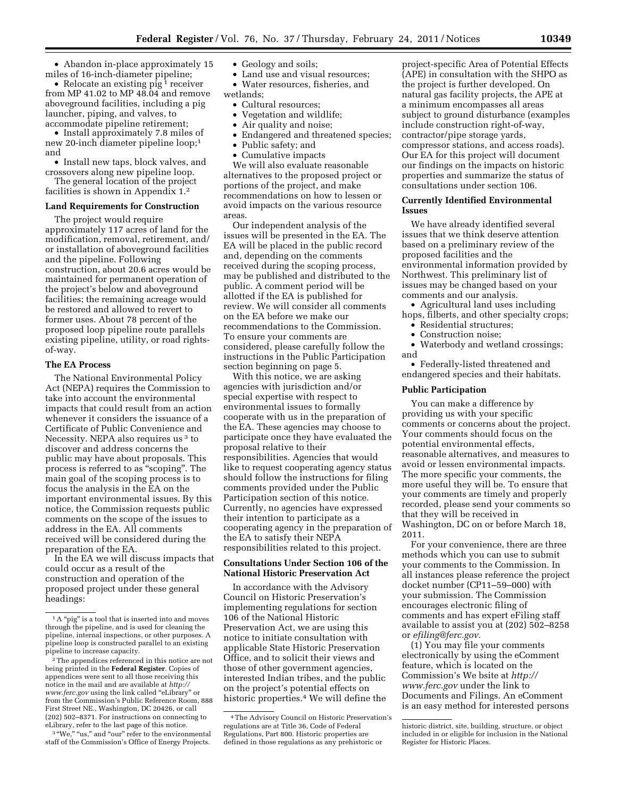• Abandon in-place approximately 15 miles of 16-inch-diameter pipeline;

• Relocate an existing pig<sup>1</sup> receiver from MP 41.02 to MP 48.04 and remove aboveground facilities, including a pig launcher, piping, and valves, to accommodate pipeline retirement;

• Install approximately 7.8 miles of new 20-inch diameter pipeline loop;1 and

• Install new taps, block valves, and crossovers along new pipeline loop.

The general location of the project facilities is shown in Appendix 1.2

#### **Land Requirements for Construction**

The project would require approximately 117 acres of land for the modification, removal, retirement, and/ or installation of aboveground facilities and the pipeline. Following construction, about 20.6 acres would be maintained for permanent operation of the project's below and aboveground facilities; the remaining acreage would be restored and allowed to revert to former uses. About 78 percent of the proposed loop pipeline route parallels existing pipeline, utility, or road rightsof-way.

# **The EA Process**

The National Environmental Policy Act (NEPA) requires the Commission to take into account the environmental impacts that could result from an action whenever it considers the issuance of a Certificate of Public Convenience and Necessity. NEPA also requires us 3 to discover and address concerns the public may have about proposals. This process is referred to as ''scoping''. The main goal of the scoping process is to focus the analysis in the EA on the important environmental issues. By this notice, the Commission requests public comments on the scope of the issues to address in the EA. All comments received will be considered during the preparation of the EA.

In the EA we will discuss impacts that could occur as a result of the construction and operation of the proposed project under these general headings:

<sup>3</sup> "We," "us," and "our" refer to the environmental staff of the Commission's Office of Energy Projects.

• Geology and soils;

• Land use and visual resources; • Water resources, fisheries, and wetlands;

- Cultural resources;
- Vegetation and wildlife;
- Air quality and noise;
- Endangered and threatened species;
- Public safety; and • Cumulative impacts

We will also evaluate reasonable alternatives to the proposed project or portions of the project, and make recommendations on how to lessen or avoid impacts on the various resource areas.

Our independent analysis of the issues will be presented in the EA. The EA will be placed in the public record and, depending on the comments received during the scoping process, may be published and distributed to the public. A comment period will be allotted if the EA is published for review. We will consider all comments on the EA before we make our recommendations to the Commission. To ensure your comments are considered, please carefully follow the instructions in the Public Participation section beginning on page 5.

With this notice, we are asking agencies with jurisdiction and/or special expertise with respect to environmental issues to formally cooperate with us in the preparation of the EA. These agencies may choose to participate once they have evaluated the proposal relative to their responsibilities. Agencies that would like to request cooperating agency status should follow the instructions for filing comments provided under the Public Participation section of this notice. Currently, no agencies have expressed their intention to participate as a cooperating agency in the preparation of the EA to satisfy their NEPA responsibilities related to this project.

### **Consultations Under Section 106 of the National Historic Preservation Act**

In accordance with the Advisory Council on Historic Preservation's implementing regulations for section 106 of the National Historic Preservation Act, we are using this notice to initiate consultation with applicable State Historic Preservation Office, and to solicit their views and those of other government agencies, interested Indian tribes, and the public on the project's potential effects on historic properties.4 We will define the

project-specific Area of Potential Effects (APE) in consultation with the SHPO as the project is further developed. On natural gas facility projects, the APE at a minimum encompasses all areas subject to ground disturbance (examples include construction right-of-way, contractor/pipe storage yards, compressor stations, and access roads). Our EA for this project will document our findings on the impacts on historic properties and summarize the status of consultations under section 106.

## **Currently Identified Environmental Issues**

We have already identified several issues that we think deserve attention based on a preliminary review of the proposed facilities and the environmental information provided by Northwest. This preliminary list of issues may be changed based on your comments and our analysis.

• Agricultural land uses including hops, filberts, and other specialty crops;

- Residential structures;
- Construction noise;
- Waterbody and wetland crossings; and

• Federally-listed threatened and endangered species and their habitats.

#### **Public Participation**

You can make a difference by providing us with your specific comments or concerns about the project. Your comments should focus on the potential environmental effects, reasonable alternatives, and measures to avoid or lessen environmental impacts. The more specific your comments, the more useful they will be. To ensure that your comments are timely and properly recorded, please send your comments so that they will be received in Washington, DC on or before March 18, 2011.

For your convenience, there are three methods which you can use to submit your comments to the Commission. In all instances please reference the project docket number (CP11–59–000) with your submission. The Commission encourages electronic filing of comments and has expert eFiling staff available to assist you at (202) 502–8258 or *[efiling@ferc.gov.](mailto:efiling@ferc.gov)* 

(1) You may file your comments electronically by using the eComment feature, which is located on the Commission's We bsite at *[http://](http://www.ferc.gov)  [www.ferc.gov](http://www.ferc.gov)* under the link to Documents and Filings. An eComment is an easy method for interested persons

<sup>&</sup>lt;sup>1</sup>A "pig" is a tool that is inserted into and moves through the pipeline, and is used for cleaning the pipeline, internal inspections, or other purposes. A pipeline loop is constructed parallel to an existing pipeline to increase capacity.

<sup>2</sup>The appendices referenced in this notice are not being printed in the **Federal Register**. Copies of appendices were sent to all those receiving this notice in the mail and are available at *[http://](http://www.ferc.gov) [www.ferc.gov](http://www.ferc.gov)* using the link called ''eLibrary'' or from the Commission's Public Reference Room, 888 First Street NE., Washington, DC 20426, or call (202) 502–8371. For instructions on connecting to eLibrary, refer to the last page of this notice.

<sup>4</sup>The Advisory Council on Historic Preservation's regulations are at Title 36, Code of Federal Regulations, Part 800. Historic properties are defined in those regulations as any prehistoric or

historic district, site, building, structure, or object included in or eligible for inclusion in the National Register for Historic Places.